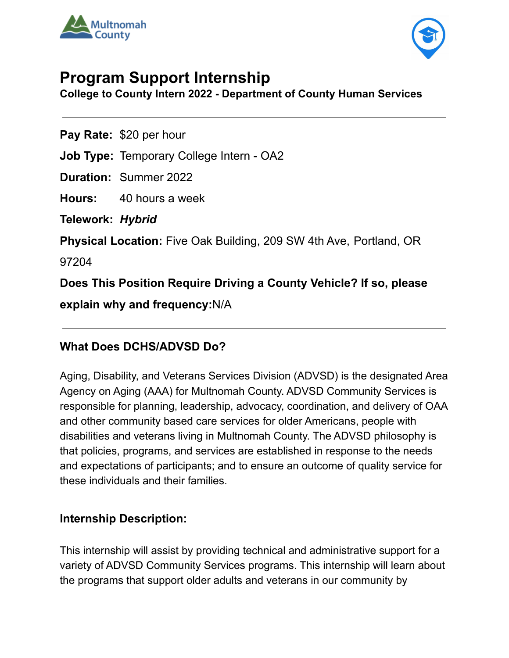



# **Program Support Internship**

**College to County Intern 2022 - Department of County Human Services**

**Pay Rate:** \$20 per hour

**Job Type:** Temporary College Intern - OA2

**Duration:** Summer 2022

**Hours:** 40 hours a week

**Telework:** *Hybrid*

**Physical Location:** Five Oak Building, 209 SW 4th Ave, Portland, OR

97204

**Does This Position Require Driving a County Vehicle? If so, please**

**explain why and frequency:**N/A

### **What Does DCHS/ADVSD Do?**

Aging, Disability, and Veterans Services Division (ADVSD) is the designated Area Agency on Aging (AAA) for Multnomah County. ADVSD Community Services is responsible for planning, leadership, advocacy, coordination, and delivery of OAA and other community based care services for older Americans, people with disabilities and veterans living in Multnomah County. The ADVSD philosophy is that policies, programs, and services are established in response to the needs and expectations of participants; and to ensure an outcome of quality service for these individuals and their families.

#### **Internship Description:**

This internship will assist by providing technical and administrative support for a variety of ADVSD Community Services programs. This internship will learn about the programs that support older adults and veterans in our community by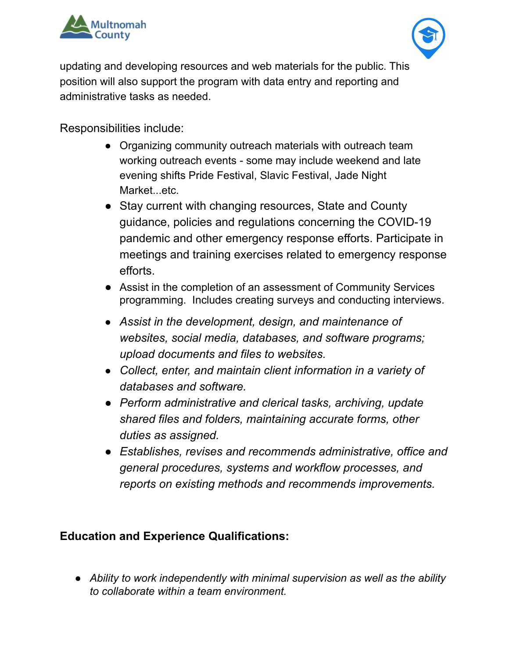



updating and developing resources and web materials for the public. This position will also support the program with data entry and reporting and administrative tasks as needed.

Responsibilities include:

- Organizing community outreach materials with outreach team working outreach events - some may include weekend and late evening shifts Pride Festival, Slavic Festival, Jade Night Market...etc.
- Stay current with changing resources, State and County guidance, policies and regulations concerning the COVID-19 pandemic and other emergency response efforts. Participate in meetings and training exercises related to emergency response efforts.
- Assist in the completion of an assessment of Community Services programming. Includes creating surveys and conducting interviews.
- *Assist in the development, design, and maintenance of websites, social media, databases, and software programs; upload documents and files to websites.*
- *Collect, enter, and maintain client information in a variety of databases and software.*
- *● Perform administrative and clerical tasks, archiving, update shared files and folders, maintaining accurate forms, other duties as assigned.*
- *● Establishes, revises and recommends administrative, office and general procedures, systems and workflow processes, and reports on existing methods and recommends improvements.*

#### **Education and Experience Qualifications:**

*● Ability to work independently with minimal supervision as well as the ability to collaborate within a team environment.*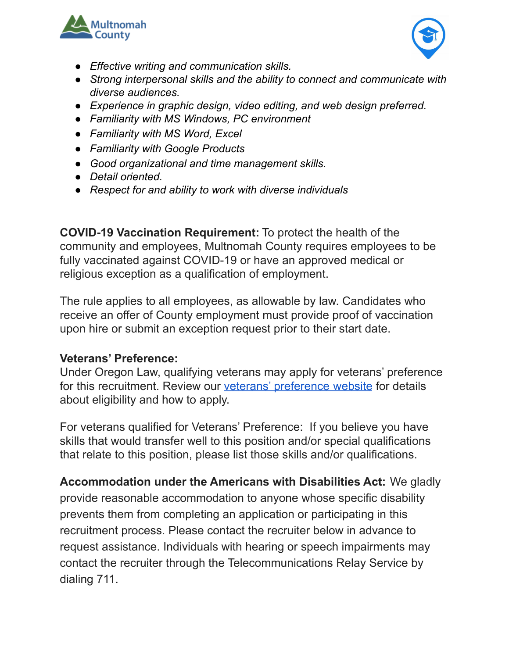



- *● Effective writing and communication skills.*
- *● Strong interpersonal skills and the ability to connect and communicate with diverse audiences.*
- *● Experience in graphic design, video editing, and web design preferred.*
- *● Familiarity with MS Windows, PC environment*
- *● Familiarity with MS Word, Excel*
- *● Familiarity with Google Products*
- *● Good organizational and time management skills.*
- *● Detail oriented.*
- *● Respect for and ability to work with diverse individuals*

**COVID-19 Vaccination Requirement:** To protect the health of the community and employees, Multnomah County requires employees to be fully vaccinated against COVID-19 or have an approved medical or religious exception as a qualification of employment.

The rule applies to all employees, as allowable by law. Candidates who receive an offer of County employment must provide proof of vaccination upon hire or submit an exception request prior to their start date.

#### **Veterans' Preference:**

Under Oregon Law, qualifying veterans may apply for veterans' preference for this recruitment. Review our veterans' [preference](http://multco.us/jobs/veterans-preference-information-and-instructions) website for details about eligibility and how to apply.

For veterans qualified for Veterans' Preference: If you believe you have skills that would transfer well to this position and/or special qualifications that relate to this position, please list those skills and/or qualifications.

**Accommodation under the Americans with Disabilities Act:** We gladly provide reasonable accommodation to anyone whose specific disability prevents them from completing an application or participating in this recruitment process. Please contact the recruiter below in advance to request assistance. Individuals with hearing or speech impairments may contact the recruiter through the Telecommunications Relay Service by dialing 711.